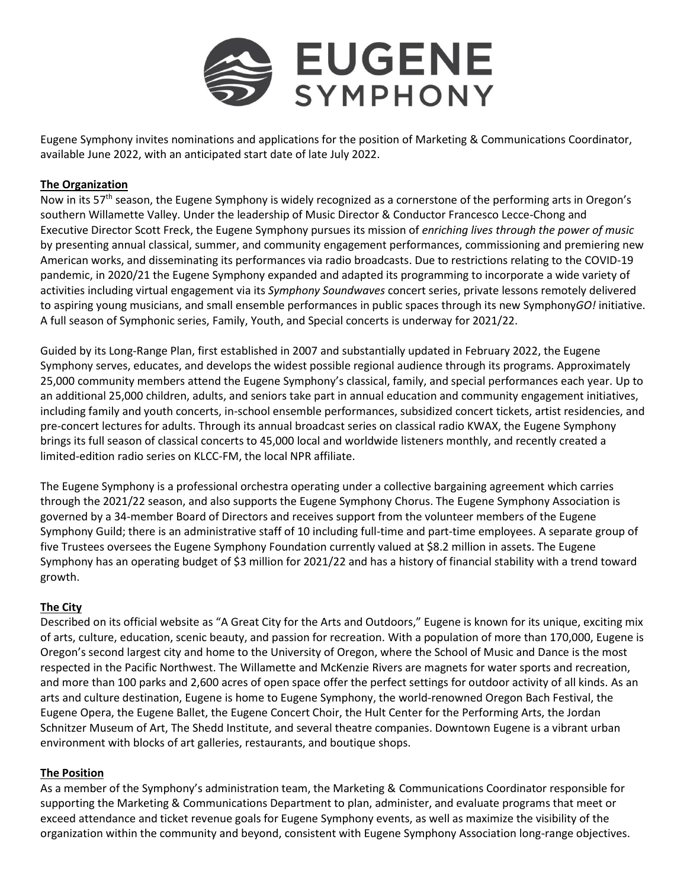

Eugene Symphony invites nominations and applications for the position of Marketing & Communications Coordinator, available June 2022, with an anticipated start date of late July 2022.

# **The Organization**

Now in its 57<sup>th</sup> season, the Eugene Symphony is widely recognized as a cornerstone of the performing arts in Oregon's southern Willamette Valley. Under the leadership of Music Director & Conductor Francesco Lecce-Chong and Executive Director Scott Freck, the Eugene Symphony pursues its mission of *enriching lives through the power of music* by presenting annual classical, summer, and community engagement performances, commissioning and premiering new American works, and disseminating its performances via radio broadcasts. Due to restrictions relating to the COVID-19 pandemic, in 2020/21 the Eugene Symphony expanded and adapted its programming to incorporate a wide variety of activities including virtual engagement via its *Symphony Soundwaves* concert series, private lessons remotely delivered to aspiring young musicians, and small ensemble performances in public spaces through its new Symphony*GO!* initiative. A full season of Symphonic series, Family, Youth, and Special concerts is underway for 2021/22.

Guided by its Long-Range Plan, first established in 2007 and substantially updated in February 2022, the Eugene Symphony serves, educates, and develops the widest possible regional audience through its programs. Approximately 25,000 community members attend the Eugene Symphony's classical, family, and special performances each year. Up to an additional 25,000 children, adults, and seniors take part in annual education and community engagement initiatives, including family and youth concerts, in-school ensemble performances, subsidized concert tickets, artist residencies, and pre-concert lectures for adults. Through its annual broadcast series on classical radio KWAX, the Eugene Symphony brings its full season of classical concerts to 45,000 local and worldwide listeners monthly, and recently created a limited-edition radio series on KLCC-FM, the local NPR affiliate.

The Eugene Symphony is a professional orchestra operating under a collective bargaining agreement which carries through the 2021/22 season, and also supports the Eugene Symphony Chorus. The Eugene Symphony Association is governed by a 34-member Board of Directors and receives support from the volunteer members of the Eugene Symphony Guild; there is an administrative staff of 10 including full-time and part-time employees. A separate group of five Trustees oversees the Eugene Symphony Foundation currently valued at \$8.2 million in assets. The Eugene Symphony has an operating budget of \$3 million for 2021/22 and has a history of financial stability with a trend toward growth.

# **The City**

Described on its official website as "A Great City for the Arts and Outdoors," Eugene is known for its unique, exciting mix of arts, culture, education, scenic beauty, and passion for recreation. With a population of more than 170,000, Eugene is Oregon's second largest city and home to the University of Oregon, where the School of Music and Dance is the most respected in the Pacific Northwest. The Willamette and McKenzie Rivers are magnets for water sports and recreation, and more than 100 parks and 2,600 acres of open space offer the perfect settings for outdoor activity of all kinds. As an arts and culture destination, Eugene is home to Eugene Symphony, the world-renowned Oregon Bach Festival, the Eugene Opera, the Eugene Ballet, the Eugene Concert Choir, the Hult Center for the Performing Arts, the Jordan Schnitzer Museum of Art, The Shedd Institute, and several theatre companies. Downtown Eugene is a vibrant urban environment with blocks of art galleries, restaurants, and boutique shops.

## **The Position**

As a member of the Symphony's administration team, the Marketing & Communications Coordinator responsible for supporting the Marketing & Communications Department to plan, administer, and evaluate programs that meet or exceed attendance and ticket revenue goals for Eugene Symphony events, as well as maximize the visibility of the organization within the community and beyond, consistent with Eugene Symphony Association long-range objectives.